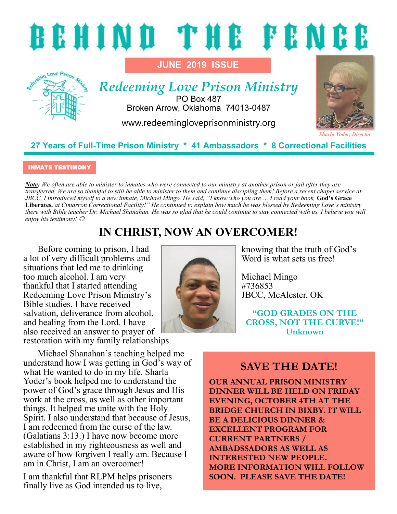



# *Redeeming Love Prison Ministry*

**JUNE 2019 ISSUE**

PO Box 487 Broken Arrow, Oklahoma 74013-0487

www.redeemingloveprisonministry.org



#### **27 Years of Full-Time Prison Ministry \* 41 Ambassadors \* 8 Correctional Facilities**

#### INMATE TESTIMONY

*Note: We often are able to minister to inmates who were connected to our ministry at another prison or jail after they are transferred. We are so thankful to still be able to minister to them and continue discipling them! Before a recent chapel service at JBCC, I introduced myself to a new inmate, Michael Mingo. He said, "I know who you are … I read your book,* **God's Grace Liberates***, at Cimarron Correctional Facility!" He continued to explain how much he was blessed by Redeeming Love's ministry there with Bible teacher Dr. Michael Shanahan. He was so glad that he could continue to stay connected with us. I believe you will enjoy his testimony!* ☺

# **IN CHRIST, NOW AN OVERCOMER!**

Before coming to prison, I had a lot of very difficult problems and situations that led me to drinking too much alcohol. I am very thankful that I started attending Redeeming Love Prison Ministry's Bible studies. I have received salvation, deliverance from alcohol, and healing from the Lord. I have also received an answer to prayer of restoration with my family relationships.

Michael Shanahan's teaching helped me understand how I was getting in God's way of what He wanted to do in my life. Sharla Yoder's book helped me to understand the power of God's grace through Jesus and His work at the cross, as well as other important things. It helped me unite with the Holy Spirit. I also understand that because of Jesus, I am redeemed from the curse of the law. (Galatians 3:13.) I have now become more established in my righteousness as well and aware of how forgiven I really am. Because I am in Christ, I am an overcomer!

I am thankful that RLPM helps prisoners finally live as God intended us to live,



knowing that the truth of God's Word is what sets us free!

Michael Mingo #736853 JBCC, McAlester, OK

**"GOD GRADES ON THE CROSS, NOT THE CURVE!" Unknown**

### **SAVE THE DATE!**

**OUR ANNUAL PRISON MINISTRY DINNER WILL BE HELD ON FRIDAY EVENING, OCTOBER 4TH AT THE BRIDGE CHURCH IN BIXBY. IT WILL BE A DELICIOUS DINNER & EXCELLENT PROGRAM FOR CURRENT PARTNERS / AMBADSSADORS AS WELL AS INTERESTED NEW PEOPLE. MORE INFORMATION WILL FOLLOW SOON. PLEASE SAVE THE DATE!**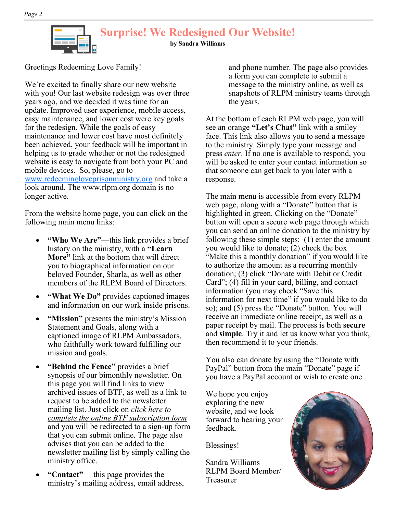

#### **Surprise! We Redesigned Our Website!**

**by Sandra Williams**

Greetings Redeeming Love Family!

We're excited to finally share our new website with you! Our last website redesign was over three years ago, and we decided it was time for an update. Improved user experience, mobile access, easy maintenance, and lower cost were key goals for the redesign. While the goals of easy maintenance and lower cost have most definitely been achieved, your feedback will be important in helping us to grade whether or not the redesigned website is easy to navigate from both your PC and mobile devices. So, please, go to [www.redeemingloveprisonministry.org](http://www.redeemingloveprisonministry.org) and take a

look around. The www.rlpm.org domain is no longer active.

From the website home page, you can click on the following main menu links:

- **"Who We Are"**—this link provides a brief history on the ministry, with a **"Learn More"** link at the bottom that will direct you to biographical information on our beloved Founder, Sharla, as well as other members of the RLPM Board of Directors.
- **"What We Do"** provides captioned images and information on our work inside prisons.
- **"Mission"** presents the ministry's Mission Statement and Goals, along with a captioned image of RLPM Ambassadors, who faithfully work toward fulfilling our mission and goals.
- **"Behind the Fence"** provides a brief synopsis of our bimonthly newsletter. On this page you will find links to view archived issues of BTF, as well as a link to request to be added to the newsletter mailing list. Just click on *click here to complete the online BTF subscription form* and you will be redirected to a sign-up form that you can submit online. The page also advises that you can be added to the newsletter mailing list by simply calling the ministry office.
- **"Contact"** —this page provides the ministry's mailing address, email address,

and phone number. The page also provides a form you can complete to submit a message to the ministry online, as well as snapshots of RLPM ministry teams through the years.

At the bottom of each RLPM web page, you will see an orange **"Let's Chat"** link with a smiley face. This link also allows you to send a message to the ministry. Simply type your message and press *enter*. If no one is available to respond, you will be asked to enter your contact information so that someone can get back to you later with a response.

The main menu is accessible from every RLPM web page, along with a "Donate" button that is highlighted in green. Clicking on the "Donate" button will open a secure web page through which you can send an online donation to the ministry by following these simple steps: (1) enter the amount you would like to donate; (2) check the box "Make this a monthly donation" if you would like to authorize the amount as a recurring monthly donation; (3) click "Donate with Debit or Credit Card"; (4) fill in your card, billing, and contact information (you may check "Save this information for next time" if you would like to do so); and (5) press the "Donate" button. You will receive an immediate online receipt, as well as a paper receipt by mail. The process is both **secure** and **simple**. Try it and let us know what you think, then recommend it to your friends.

You also can donate by using the "Donate with PayPal" button from the main "Donate" page if you have a PayPal account or wish to create one.

We hope you enjoy exploring the new website, and we look forward to hearing your feedback.

Blessings!

Sandra Williams RLPM Board Member/ Treasurer

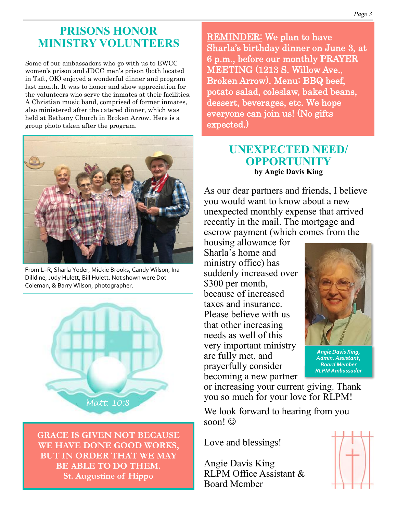### **PRISONS HONOR MINISTRY VOLUNTEERS**

Some of our ambassadors who go with us to EWCC women's prison and JDCC men's prison (both located in Taft, OK) enjoyed a wonderful dinner and program last month. It was to honor and show appreciation for the volunteers who serve the inmates at their facilities. A Christian music band, comprised of former inmates, also ministered after the catered dinner, which was held at Bethany Church in Broken Arrow. Here is a group photo taken after the program.



From L–R, Sharla Yoder, Mickie Brooks, Candy Wilson, Ina Dilldine, Judy Hulett, Bill Hulett. Not shown were Dot Coleman, & Barry Wilson, photographer.



**GRACE IS GIVEN NOT BECAUSE WE HAVE DONE GOOD WORKS, BUT IN ORDER THAT WE MAY BE ABLE TO DO THEM. St. Augustine of Hippo** 

REMINDER: We plan to have Sharla's birthday dinner on June 3, at 6 p.m., before our monthly PRAYER MEETING (1213 S. Willow Ave., Broken Arrow). Menu: BBQ beef, potato salad, coleslaw, baked beans, dessert, beverages, etc. We hope everyone can join us! (No gifts expected.)

#### **UNEXPECTED NEED/ OPPORTUNITY by Angie Davis King**

As our dear partners and friends, I believe you would want to know about a new unexpected monthly expense that arrived recently in the mail. The mortgage and escrow payment (which comes from the

housing allowance for Sharla's home and ministry office) has suddenly increased over \$300 per month, because of increased taxes and insurance. Please believe with us that other increasing needs as well of this very important ministry are fully met, and prayerfully consider becoming a new partner



*Angie Davis King, Admin. Assistant, Board Member RLPM Ambassador* 

or increasing your current giving. Thank you so much for your love for RLPM!

We look forward to hearing from you soon! $\odot$ 

Love and blessings!

Angie Davis King RLPM Office Assistant & Board Member